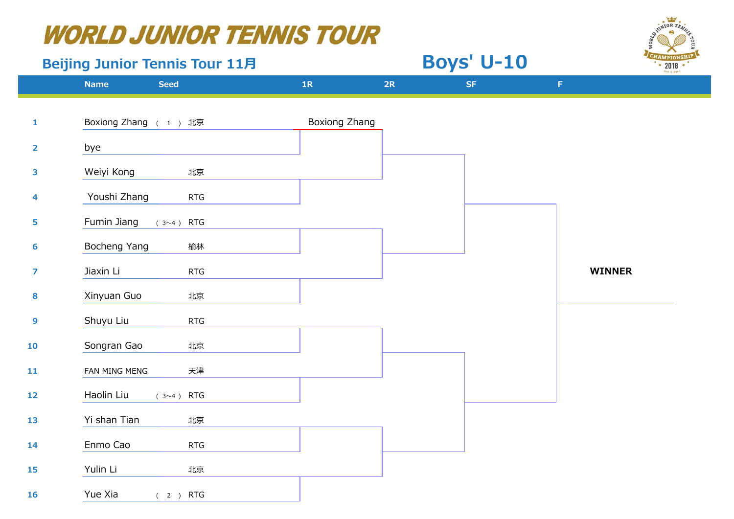#### **Beijing Junior Tennis Tour 11月**

| <b>SUINTOR TENNS</b>  |
|-----------------------|
|                       |
| <b>CHAMPIONSHIP</b>   |
| 2018<br>Fold in Junk? |

 **Boys' U-10**

|                         | <b>Name</b>          | <b>Seed</b>         | 1R            | 2R | <b>SF</b> | $\mathsf F$   |
|-------------------------|----------------------|---------------------|---------------|----|-----------|---------------|
|                         |                      |                     |               |    |           |               |
| $\mathbf{1}$            | Boxiong Zhang (1) 北京 |                     | Boxiong Zhang |    |           |               |
| $\overline{\mathbf{2}}$ | bye                  |                     |               |    |           |               |
| 3                       | Weiyi Kong           | 北京                  |               |    |           |               |
| 4                       | Youshi Zhang         | RTG                 |               |    |           |               |
| 5                       | Fumin Jiang          | (3~4) RTG           |               |    |           |               |
| 6                       | Bocheng Yang         | 榆林                  |               |    |           |               |
| $\overline{z}$          | Jiaxin Li            | <b>RTG</b>          |               |    |           | <b>WINNER</b> |
| 8                       | Xinyuan Guo          | 北京                  |               |    |           |               |
| $\mathbf{9}$            | Shuyu Liu            | RTG                 |               |    |           |               |
| 10                      | Songran Gao          | 北京                  |               |    |           |               |
| 11                      | FAN MING MENG        | 天津                  |               |    |           |               |
| 12                      | Haolin Liu           | RTG<br>$(3 \sim 4)$ |               |    |           |               |
| 13                      | Yi shan Tian         | 北京                  |               |    |           |               |
| 14                      | Enmo Cao             | <b>RTG</b>          |               |    |           |               |
| 15                      | Yulin Li             | 北京                  |               |    |           |               |
| <b>16</b>               | Yue Xia              | (2) RTG             |               |    |           |               |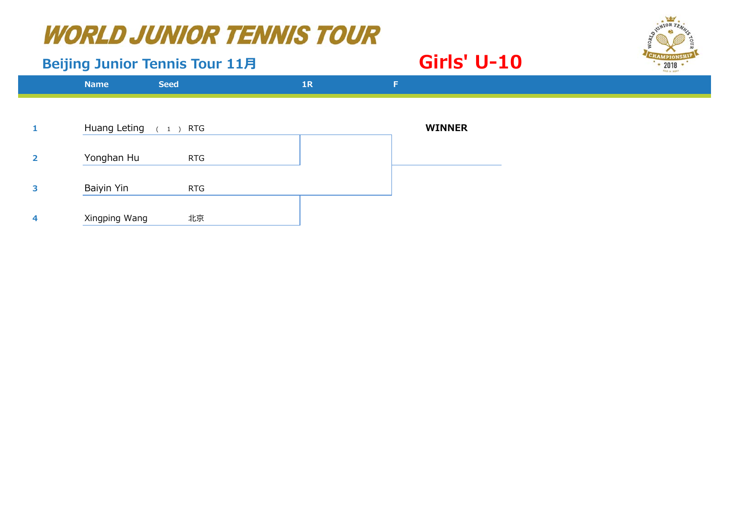#### **Beijing Junior Tennis Tour 11月**

#### **Girls' U-10**



|                | <b>Name</b>            | <b>Seed</b> | 1R | F.            |  |
|----------------|------------------------|-------------|----|---------------|--|
|                |                        |             |    |               |  |
|                | Huang Leting $(1)$ RTG |             |    | <b>WINNER</b> |  |
| $\overline{2}$ | Yonghan Hu             | <b>RTG</b>  |    |               |  |
| 3              | Baiyin Yin             | <b>RTG</b>  |    |               |  |
|                | Xingping Wang          | 北京          |    |               |  |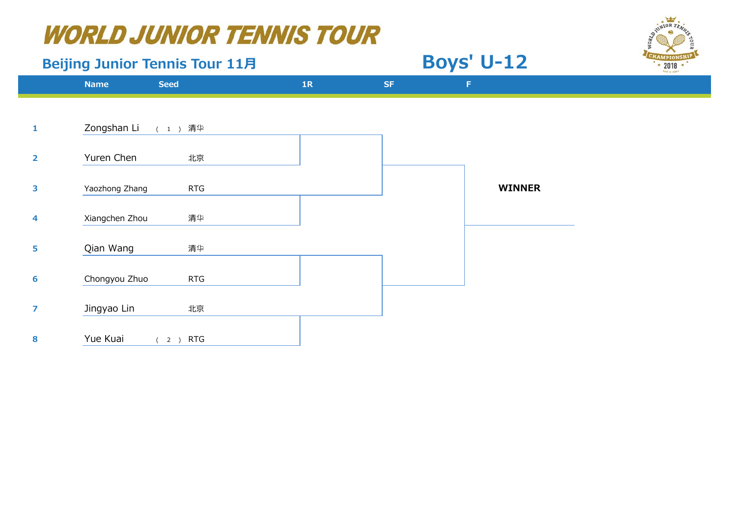## Beijing Junior Tennis Tour 11月 **Boys' U-12**





**Name 1R SF F 1**Zongshan Li 清 华 **2**Yuren Chen **水京 3**Yaozhong Zhang RTG RTG **WINNER 4** Xiangchen Zhou 清 华 **5** Qian Wang 清华**6**Chongyou Zhuo RTG **7**Jingyao Lin オンランス 北京 **8**Yue Kuai (2) RTG **Seed**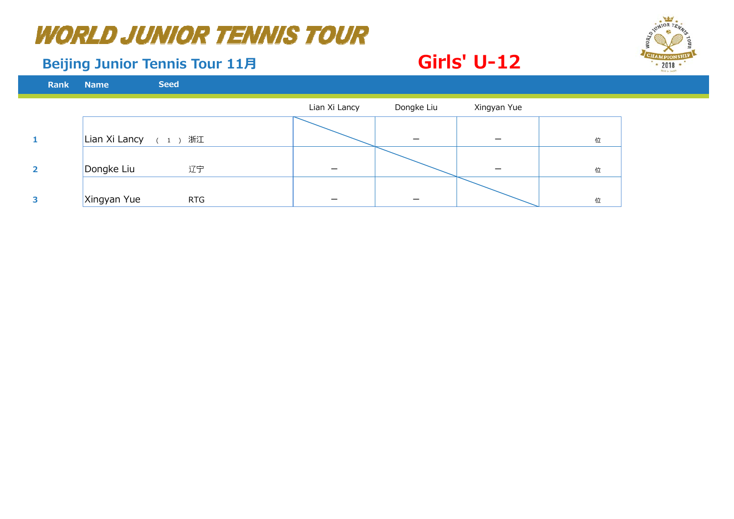#### **Beijing Junior Tennis Tour 11月**

| Rank           | <b>Name</b>   | <b>Seed</b> |               |            |             |   |
|----------------|---------------|-------------|---------------|------------|-------------|---|
|                |               |             | Lian Xi Lancy | Dongke Liu | Xingyan Yue |   |
|                | Lian Xi Lancy | ( 1 ) 浙江    |               |            |             | 位 |
| $\overline{2}$ | Dongke Liu    | 辽宁          |               |            |             | 位 |
| 3              | Xingyan Yue   | <b>RTG</b>  |               |            |             | 位 |

 **Girls' U-12**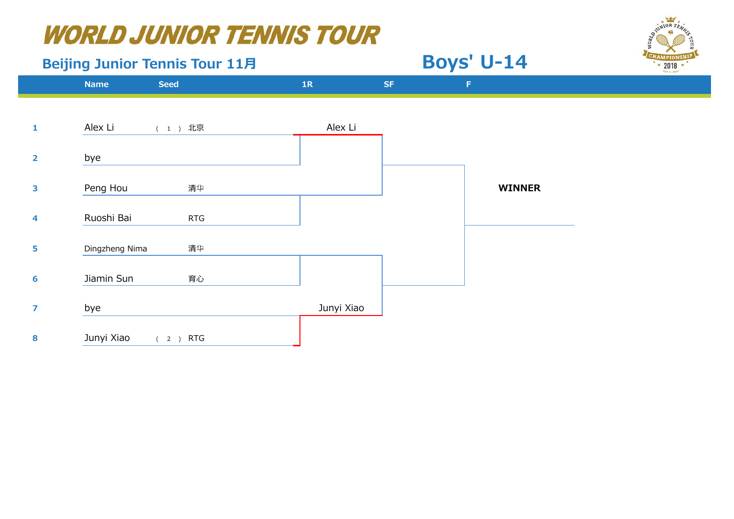## Beijing Junior Tennis Tour 11月 **Boys' U-14**



**Name 1R SF F 1**Alex Li (1) 北京 Alex Li **2** bye **3** Peng Hou 清 华 **WINNER 4**Ruoshi Bai **RTG 5** Dingzheng Nima 清 华 **6**Jiamin Sun **育心 7**bye Junyi Xiao **8**Junyi Xiao (2) RTG **Seed**